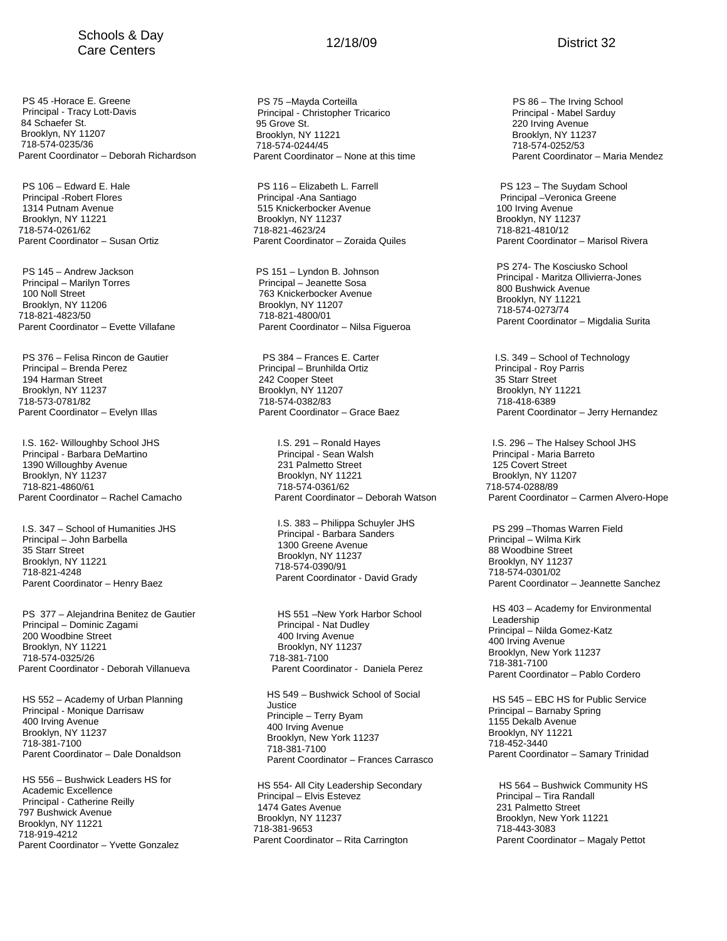## Schools & Day Ochools & Day<br>Care Centers **Care Centers** 12/18/09

PS 45 -Horace E. Greene Principal - Tracy Lott-Davis 84 Schaefer St. Brooklyn, NY 11207 718-574-0235/36 Parent Coordinator – Deborah Richardson

PS 106 – Edward E. Hale Principal -Robert Flores 1314 Putnam Avenue Brooklyn, NY 11221 718-574-0261/62 Parent Coordinator – Susan Ortiz

PS 145 – Andrew Jackson Principal – Marilyn Torres 100 Noll Street Brooklyn, NY 11206 718-821-4823/50 Parent Coordinator – Evette Villafane

PS 376 – Felisa Rincon de Gautier Principal – Brenda Perez 194 Harman Street Brooklyn, NY 11237 718-573-0781/82 Parent Coordinator – Evelyn Illas

I.S. 162- Willoughby School JHS Principal - Barbara DeMartino 1390 Willoughby Avenue Brooklyn, NY 11237 718-821-4860/61 Parent Coordinator – Rachel Camacho

I.S. 347 – School of Humanities JHS Principal – John Barbella 35 Starr Street Brooklyn, NY 11221 718-821-4248 Parent Coordinator – Henry Baez

PS 377 – Alejandrina Benitez de Gautier Principal – Dominic Zagami 200 Woodbine Street Brooklyn, NY 11221 718-574-0325/26 Parent Coordinator - Deborah Villanueva

HS 552 – Academy of Urban Planning Principal - Monique Darrisaw 400 Irving Avenue Brooklyn, NY 11237 718-381-7100 Parent Coordinator – Dale Donaldson

HS 556 – Bushwick Leaders HS for Academic Excellence Principal - Catherine Reilly 797 Bushwick Avenue Brooklyn, NY 11221 718-919-4212 Parent Coordinator – Yvette Gonzalez

PS 75 –Mayda Corteilla Principal - Christopher Tricarico 95 Grove St. Brooklyn, NY 11221 718-574-0244/45 Parent Coordinator – None at this time

PS 116 – Elizabeth L. Farrell Principal -Ana Santiago 515 Knickerbocker Avenue Brooklyn, NY 11237 718-821-4623/24 Parent Coordinator – Zoraida Quiles

PS 151 – Lyndon B. Johnson Principal – Jeanette Sosa 763 Knickerbocker Avenue Brooklyn, NY 11207 718-821-4800/01 Parent Coordinator – Nilsa Figueroa

 PS 384 – Frances E. Carter Principal – Brunhilda Ortiz 242 Cooper Steet Brooklyn, NY 11207 718-574-0382/83 Parent Coordinator – Grace Baez

> I.S. 291 – Ronald Hayes Principal - Sean Walsh 231 Palmetto Street Brooklyn, NY 11221 718-574-0361/62 Parent Coordinator – Deborah Watson

I.S. 383 – Philippa Schuyler JHS Principal - Barbara Sanders 1300 Greene Avenue Brooklyn, NY 11237 718-574-0390/91 Parent Coordinator - David Grady

HS 551 –New York Harbor School Principal - Nat Dudley 400 Irving Avenue Brooklyn, NY 11237 718-381-7100 Parent Coordinator - Daniela Perez

HS 549 – Bushwick School of Social Justice Principle – Terry Byam 400 Irving Avenue Brooklyn, New York 11237 718-381-7100 Parent Coordinator – Frances Carrasco

HS 554- All City Leadership Secondary Principal – Elvis Estevez 1474 Gates Avenue Brooklyn, NY 11237 718-381-9653 Parent Coordinator – Rita Carrington

PS 86 – The Irving School Principal - Mabel Sarduy 220 Irving Avenue Brooklyn, NY 11237 718-574-0252/53 Parent Coordinator – Maria Mendez

 PS 123 – The Suydam School Principal –Veronica Greene 100 Irving Avenue Brooklyn, NY 11237 718-821-4810/12 Parent Coordinator – Marisol Rivera

PS 274- The Kosciusko School Principal - Maritza Ollivierra-Jones 800 Bushwick Avenue Brooklyn, NY 11221 718-574-0273/74 Parent Coordinator – Migdalia Surita

 I.S. 349 – School of Technology Principal - Roy Parris 35 Starr Street Brooklyn, NY 11221 718-418-6389 Parent Coordinator – Jerry Hernandez

I.S. 296 – The Halsey School JHS Principal - Maria Barreto 125 Covert Street Brooklyn, NY 11207 718-574-0288/89 Parent Coordinator – Carmen Alvero-Hope

PS 299 –Thomas Warren Field Principal – Wilma Kirk 88 Woodbine Street Brooklyn, NY 11237 718-574-0301/02 Parent Coordinator – Jeannette Sanchez

HS 403 – Academy for Environmental Leadership Principal – Nilda Gomez-Katz 400 Irving Avenue Brooklyn, New York 11237 718-381-7100 Parent Coordinator – Pablo Cordero

HS 545 – EBC HS for Public Service Principal – Barnaby Spring 1155 Dekalb Avenue Brooklyn, NY 11221 718-452-3440 Parent Coordinator – Samary Trinidad

HS 564 – Bushwick Community HS Principal – Tira Randall 231 Palmetto Street Brooklyn, New York 11221 718-443-3083 Parent Coordinator – Magaly Pettot